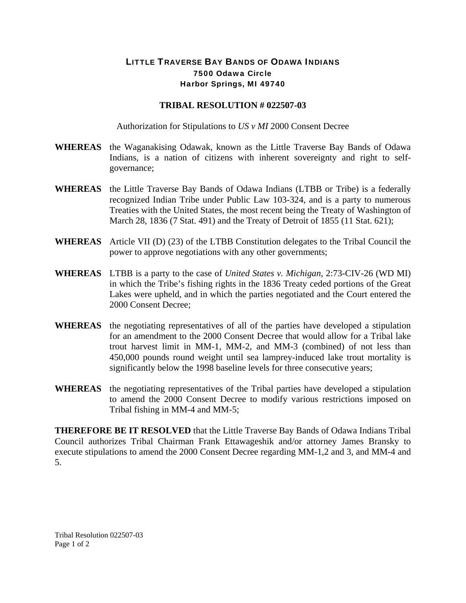## LITTLE TRAVERSE BAY BANDS OF ODAWA INDIANS 7500 Odawa Circle Harbor Springs, MI 49740

## **TRIBAL RESOLUTION # 022507-03**

Authorization for Stipulations to *US v MI* 2000 Consent Decree

- **WHEREAS** the Waganakising Odawak, known as the Little Traverse Bay Bands of Odawa Indians, is a nation of citizens with inherent sovereignty and right to selfgovernance;
- **WHEREAS** the Little Traverse Bay Bands of Odawa Indians (LTBB or Tribe) is a federally recognized Indian Tribe under Public Law 103-324, and is a party to numerous Treaties with the United States, the most recent being the Treaty of Washington of March 28, 1836 (7 Stat. 491) and the Treaty of Detroit of 1855 (11 Stat. 621);
- **WHEREAS** Article VII (D) (23) of the LTBB Constitution delegates to the Tribal Council the power to approve negotiations with any other governments;
- **WHEREAS** LTBB is a party to the case of *United States v. Michigan*, 2:73-CIV-26 (WD MI) in which the Tribe's fishing rights in the 1836 Treaty ceded portions of the Great Lakes were upheld, and in which the parties negotiated and the Court entered the 2000 Consent Decree;
- **WHEREAS** the negotiating representatives of all of the parties have developed a stipulation for an amendment to the 2000 Consent Decree that would allow for a Tribal lake trout harvest limit in MM-1, MM-2, and MM-3 (combined) of not less than 450,000 pounds round weight until sea lamprey-induced lake trout mortality is significantly below the 1998 baseline levels for three consecutive years;
- **WHEREAS** the negotiating representatives of the Tribal parties have developed a stipulation to amend the 2000 Consent Decree to modify various restrictions imposed on Tribal fishing in MM-4 and MM-5;

**THEREFORE BE IT RESOLVED** that the Little Traverse Bay Bands of Odawa Indians Tribal Council authorizes Tribal Chairman Frank Ettawageshik and/or attorney James Bransky to execute stipulations to amend the 2000 Consent Decree regarding MM-1,2 and 3, and MM-4 and 5.

Tribal Resolution 022507-03 Page 1 of 2